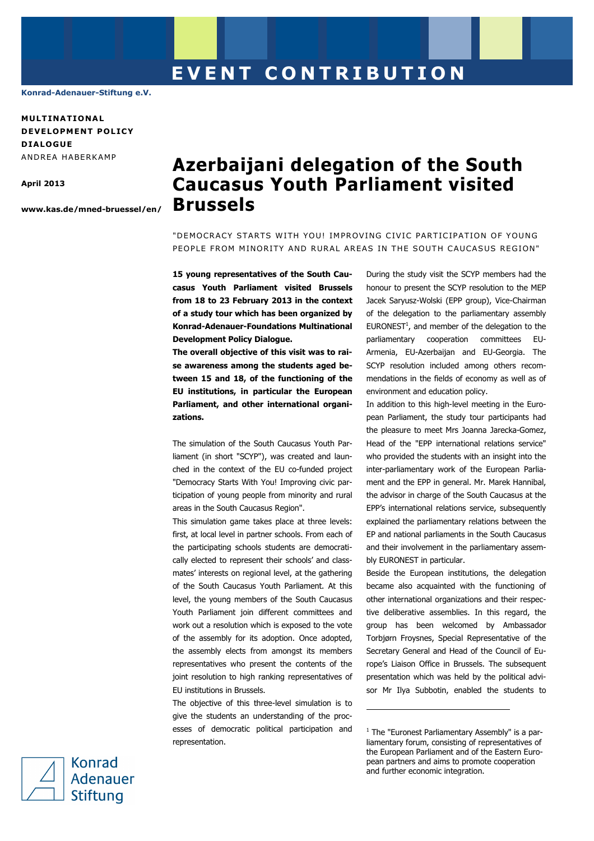**Konrad-Adenauer-Stiftung e.V.** 

**MULT INAT IONA L DEVELOPMENT POLICY D IALOGUE**  ANDREA HABERKAMP

**April 2013** 

**www.kas.de/mned-bruessel/en/**

## **Azerbaijani delegation of the South Caucasus Youth Parliament visited Brussels**

"DEMOCRACY STARTS WITH YOU! IMPROVING CIVIC PARTICIPATION OF YOUNG PEOPLE FROM MINORITY AND RURAL AREAS IN THE SOUTH CAUCASUS REGION"

**15 young representatives of the South Caucasus Youth Parliament visited Brussels from 18 to 23 February 2013 in the context of a study tour which has been organized by Konrad-Adenauer-Foundations Multinational Development Policy Dialogue.** 

**The overall objective of this visit was to raise awareness among the students aged between 15 and 18, of the functioning of the EU institutions, in particular the European Parliament, and other international organizations.** 

The simulation of the South Caucasus Youth Parliament (in short "SCYP"), was created and launched in the context of the EU co-funded project "Democracy Starts With You! Improving civic participation of young people from minority and rural areas in the South Caucasus Region".

This simulation game takes place at three levels: first, at local level in partner schools. From each of the participating schools students are democratically elected to represent their schools' and classmates' interests on regional level, at the gathering of the South Caucasus Youth Parliament. At this level, the young members of the South Caucasus Youth Parliament join different committees and work out a resolution which is exposed to the vote of the assembly for its adoption. Once adopted, the assembly elects from amongst its members representatives who present the contents of the joint resolution to high ranking representatives of EU institutions in Brussels.

The objective of this three-level simulation is to give the students an understanding of the processes of democratic political participation and representation.

During the study visit the SCYP members had the honour to present the SCYP resolution to the MEP Jacek Saryusz-Wolski (EPP group), Vice-Chairman of the delegation to the parliamentary assembly  $EURONEST<sup>1</sup>$ , and member of the delegation to the parliamentary cooperation committees EU-Armenia, EU-Azerbaijan and EU-Georgia. The SCYP resolution included among others recommendations in the fields of economy as well as of environment and education policy.

In addition to this high-level meeting in the European Parliament, the study tour participants had the pleasure to meet Mrs Joanna Jarecka-Gomez, Head of the "EPP international relations service" who provided the students with an insight into the inter-parliamentary work of the European Parliament and the EPP in general. Mr. Marek Hannibal, the advisor in charge of the South Caucasus at the EPP's international relations service, subsequently explained the parliamentary relations between the EP and national parliaments in the South Caucasus and their involvement in the parliamentary assembly EURONEST in particular.

Beside the European institutions, the delegation became also acquainted with the functioning of other international organizations and their respective deliberative assemblies. In this regard, the group has been welcomed by Ambassador Torbjørn Froysnes, Special Representative of the Secretary General and Head of the Council of Europe's Liaison Office in Brussels. The subsequent presentation which was held by the political advisor Mr Ilya Subbotin, enabled the students to

l



<sup>&</sup>lt;sup>1</sup> The "Euronest Parliamentary Assembly" is a parliamentary forum, consisting of representatives of the European Parliament and of the Eastern European partners and aims to promote cooperation and further economic integration.